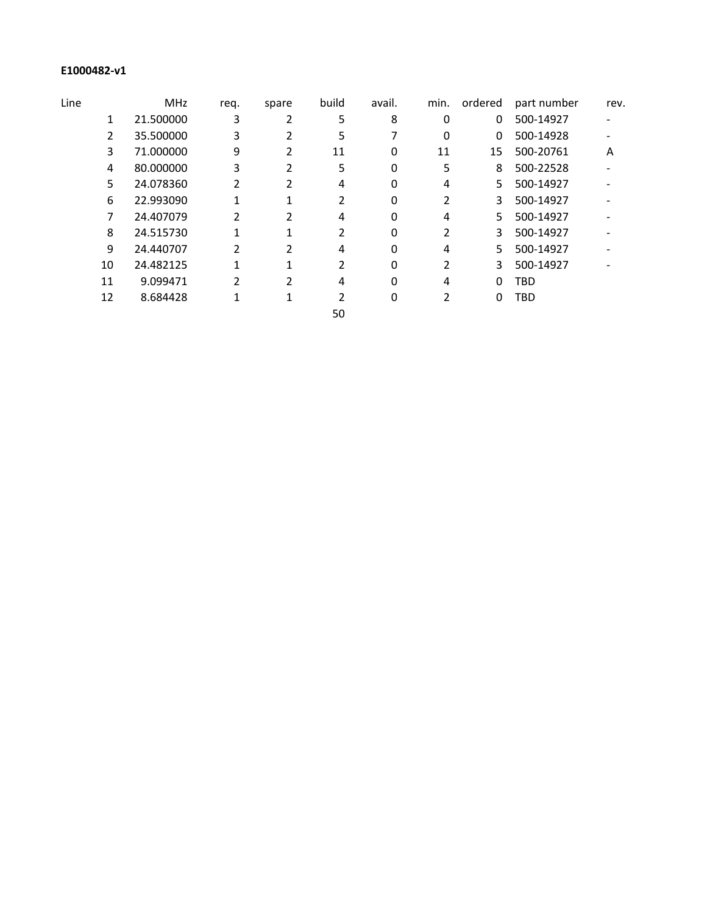## **E1000482-v1**

| Line |    | <b>MHz</b> | req. | spare | build | avail. | min. | ordered | part number | rev. |
|------|----|------------|------|-------|-------|--------|------|---------|-------------|------|
|      | 1  | 21.500000  | 3    |       | 5     | 8      | 0    | 0       | 500-14927   |      |
|      | 2  | 35.500000  | 3    |       | 5     |        | 0    | 0       | 500-14928   |      |
|      | 3  | 71.000000  | 9    |       | 11    | 0      | 11   | 15      | 500-20761   | Α    |
|      | 4  | 80.000000  | 3    |       | 5     | 0      | 5    | 8       | 500-22528   |      |
|      | 5  | 24.078360  | 2    |       | 4     | 0      | 4    | 5.      | 500-14927   |      |
|      | 6  | 22.993090  |      |       |       | 0      | 2    | 3       | 500-14927   |      |
|      | 7  | 24.407079  |      | 2     | 4     | 0      | 4    | 5.      | 500-14927   |      |
|      | 8  | 24.515730  |      |       |       | 0      |      | 3       | 500-14927   |      |
|      | 9  | 24.440707  | 2    | 2     | 4     | 0      | 4    | 5.      | 500-14927   |      |
|      | 10 | 24.482125  |      |       | 2     | 0      | 2    | 3       | 500-14927   |      |
|      | 11 | 9.099471   |      | 2     | 4     | 0      | 4    | 0       | TBD         |      |
|      | 12 | 8.684428   |      |       |       | 0      | 2    | 0       | TBD         |      |
|      |    |            |      |       | 50    |        |      |         |             |      |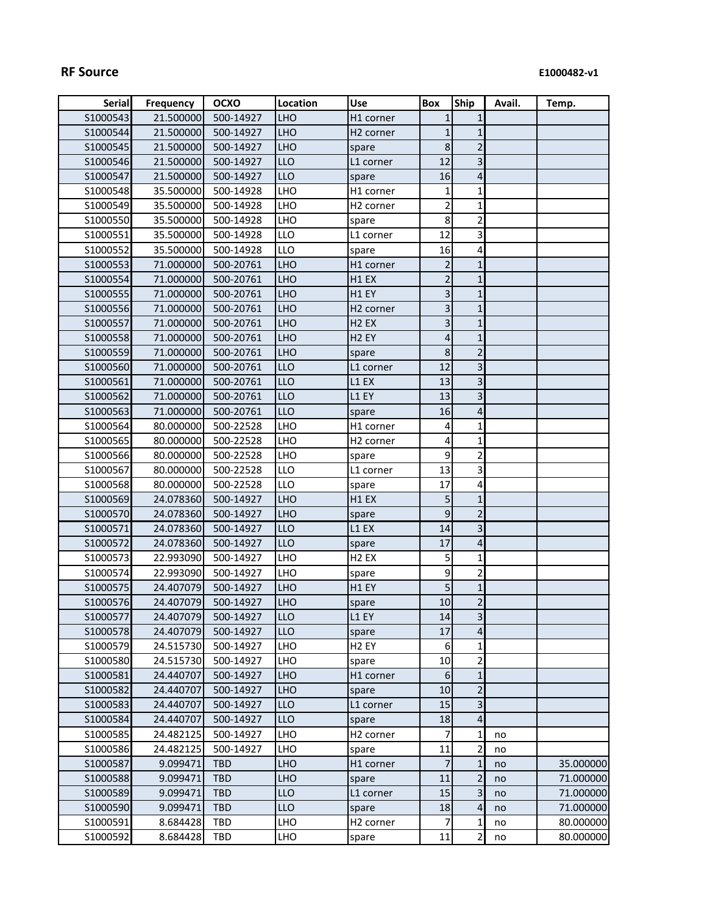| <b>Serial</b> | <b>Frequency</b> | <b>OCXO</b> | Location   | <b>Use</b>            | Box             | <b>Ship</b>             | Avail. | Temp.     |
|---------------|------------------|-------------|------------|-----------------------|-----------------|-------------------------|--------|-----------|
| S1000543      | 21.500000        | 500-14927   | <b>LHO</b> | H1 corner             | 1               | $1\overline{ }$         |        |           |
| S1000544      | 21.500000        | 500-14927   | <b>LHO</b> | H <sub>2</sub> corner | 1               | $1\overline{ }$         |        |           |
| S1000545      | 21.500000        | 500-14927   | <b>LHO</b> | spare                 | 8               | $\overline{2}$          |        |           |
| S1000546      | 21.500000        | 500-14927   | <b>LLO</b> | L1 corner             | 12              | 3 <sup>1</sup>          |        |           |
| S1000547      | 21.500000        | 500-14927   | <b>LLO</b> | spare                 | 16              | $\overline{4}$          |        |           |
| S1000548      | 35.500000        | 500-14928   | <b>LHO</b> | H1 corner             | 1               | $\mathbf{1}$            |        |           |
| S1000549      | 35.500000        | 500-14928   | LHO        | H <sub>2</sub> corner | $\overline{2}$  | $\mathbf{1}$            |        |           |
| S1000550      | 35.500000        | 500-14928   | <b>LHO</b> | spare                 | 8 <sup>1</sup>  | $\overline{2}$          |        |           |
| S1000551      | 35.500000        | 500-14928   | LLO        | L1 corner             | 12              | $\overline{3}$          |        |           |
| S1000552      | 35.500000        | 500-14928   | LLO        | spare                 | 16              | 4                       |        |           |
| S1000553      | 71.000000        | 500-20761   | <b>LHO</b> | H1 corner             | $\overline{2}$  | $1\overline{ }$         |        |           |
| S1000554      | 71.000000        | 500-20761   | <b>LHO</b> | H1 EX                 | $\overline{2}$  | $1\overline{ }$         |        |           |
| S1000555      | 71.000000        | 500-20761   | <b>LHO</b> | H1 EY                 | 3               | $\mathbf{1}$            |        |           |
| S1000556      | 71.000000        | 500-20761   | <b>LHO</b> | H <sub>2</sub> corner | 3               | $\mathbf{1}$            |        |           |
| S1000557      | 71.000000        | 500-20761   | <b>LHO</b> | H <sub>2</sub> EX     | 3               | $\mathbf{1}$            |        |           |
| S1000558      | 71.000000        | 500-20761   | <b>LHO</b> | H <sub>2</sub> EY     | 4               | 1                       |        |           |
| S1000559      | 71.000000        | 500-20761   | <b>LHO</b> | spare                 | 8               | $\overline{2}$          |        |           |
| S1000560      | 71.000000        | 500-20761   | <b>LLO</b> | L1 corner             | 12              | $\overline{3}$          |        |           |
| S1000561      | 71.000000        | 500-20761   | <b>LLO</b> | L1 EX                 | 13              | $\overline{3}$          |        |           |
| S1000562      | 71.000000        | 500-20761   | <b>LLO</b> | L1 EY                 | 13              | $\overline{3}$          |        |           |
| S1000563      | 71.000000        | 500-20761   | <b>LLO</b> | spare                 | 16              | $\overline{4}$          |        |           |
| S1000564      | 80.000000        | 500-22528   | LHO        | H1 corner             | 4               | $\mathbf{1}$            |        |           |
| S1000565      | 80.000000        | 500-22528   | LHO        | H <sub>2</sub> corner | 4               | $\mathbf{1}$            |        |           |
| S1000566      | 80.000000        | 500-22528   | <b>LHO</b> | spare                 | 9               | $\overline{2}$          |        |           |
| S1000567      | 80.000000        | 500-22528   | LLO        | L1 corner             | 13              | $\overline{\mathbf{3}}$ |        |           |
| S1000568      | 80.000000        | 500-22528   | <b>LLO</b> | spare                 | 17              | 4                       |        |           |
| S1000569      | 24.078360        | 500-14927   | <b>LHO</b> | H1 EX                 | 5               | 1                       |        |           |
| S1000570      | 24.078360        | 500-14927   | <b>LHO</b> | spare                 | $\vert 9 \vert$ | $\overline{2}$          |        |           |
| S1000571      | 24.078360        | 500-14927   | <b>LLO</b> | L1 EX                 | 14              | 3 <sup>1</sup>          |        |           |
| S1000572      | 24.078360        | 500-14927   | <b>LLO</b> | spare                 | 17              | $\vert 4 \vert$         |        |           |
| S1000573      | 22.993090        | 500-14927   | <b>LHO</b> | H <sub>2</sub> EX     | 5 <sup>1</sup>  | $\mathbf{1}$            |        |           |
| S1000574      | 22.993090        | 500-14927   | <b>LHO</b> | spare                 | 9               | $\overline{2}$          |        |           |
| S1000575      | 24.407079        | 500-14927   | <b>LHO</b> | H1 EY                 | 5               | 1                       |        |           |
| S1000576      | 24.407079        | 500-14927   | <b>LHO</b> | spare                 | 10              | $\overline{2}$          |        |           |
| S1000577      | 24.407079        | 500-14927   | <b>LLO</b> | L1 EY                 | 14              | $\overline{3}$          |        |           |
| S1000578      | 24.407079        | 500-14927   | <b>LLO</b> | spare                 | 17              | $\vert 4 \vert$         |        |           |
| S1000579      | 24.515730        | 500-14927   | <b>LHO</b> | H <sub>2</sub> EY     | 6               | $\mathbf{1}$            |        |           |
| S1000580      | 24.515730        | 500-14927   | <b>LHO</b> | spare                 | 10              | $\overline{2}$          |        |           |
| S1000581      | 24.440707        | 500-14927   | <b>LHO</b> | H1 corner             | 6               | 1                       |        |           |
| S1000582      | 24.440707        | 500-14927   | <b>LHO</b> | spare                 | 10              | $\overline{2}$          |        |           |
| S1000583      | 24.440707        | 500-14927   | <b>LLO</b> | L1 corner             | 15              | 3 <sup>1</sup>          |        |           |
| S1000584      | 24.440707        | 500-14927   | <b>LLO</b> | spare                 | 18              | $\overline{4}$          |        |           |
| S1000585      | 24.482125        | 500-14927   | <b>LHO</b> | H <sub>2</sub> corner | 7               | $\mathbf{1}$            | no     |           |
| S1000586      | 24.482125        | 500-14927   | <b>LHO</b> | spare                 | 11              | $\overline{2}$          | no     |           |
| S1000587      | 9.099471         | <b>TBD</b>  | <b>LHO</b> | H1 corner             | $\overline{7}$  | $1\overline{ }$         | no     | 35.000000 |
| S1000588      | 9.099471         | <b>TBD</b>  | <b>LHO</b> | spare                 | 11              | $\overline{2}$          | no     | 71.000000 |
| S1000589      | 9.099471         | <b>TBD</b>  | LLO        | L1 corner             | 15              | $\overline{3}$          | no     | 71.000000 |
| S1000590      | 9.099471         | <b>TBD</b>  | LLO        | spare                 | 18              | $\vert 4 \vert$         | no     | 71.000000 |
| S1000591      | 8.684428         | <b>TBD</b>  | <b>LHO</b> | H <sub>2</sub> corner | 7               | $\mathbf{1}$            | no     | 80.000000 |
| S1000592      | 8.684428         | <b>TBD</b>  | LHO        | spare                 | 11              | $\overline{2}$          | no     | 80.000000 |